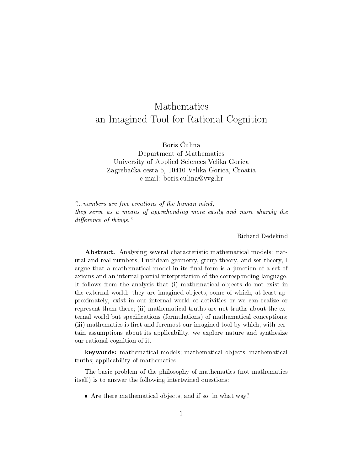# Mathematics an Imagined Tool for Rational Cognition

Boris Čulina Department of Mathematics University of Applied Sciences Velika Gorica Zagreba£ka cesta 5, 10410 Velika Gorica, Croatia e-mail: boris.culina@vvg.hr

...numbers are free creations of the human mind; they serve as a means of apprehending more easily and more sharply the  $difference of things.$ "

Richard Dedekind

Abstract. Analysing several characteristic mathematical models: natural and real numbers, Euclidean geometry, group theory, and set theory, I argue that a mathematical model in its final form is a junction of a set of axioms and an internal partial interpretation of the corresponding language. It follows from the analysis that (i) mathematical objects do not exist in the external world: they are imagined objects, some of which, at least approximately, exist in our internal world of activities or we can realize or represent them there; (ii) mathematical truths are not truths about the external world but specifications (formulations) of mathematical conceptions; (iii) mathematics is first and foremost our imagined tool by which, with certain assumptions about its applicability, we explore nature and synthesize our rational cognition of it.

keywords: mathematical models; mathematical objects; mathematical truths; applicability of mathematics

The basic problem of the philosophy of mathematics (not mathematics itself) is to answer the following intertwined questions:

Are there mathematical objects, and if so, in what way?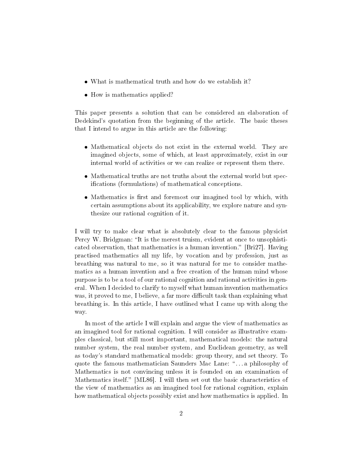- What is mathematical truth and how do we establish it?
- How is mathematics applied?

This paper presents a solution that can be considered an elaboration of Dedekind's quotation from the beginning of the article. The basic theses that I intend to argue in this article are the following:

- Mathematical objects do not exist in the external world. They are imagined objects, some of which, at least approximately, exist in our internal world of activities or we can realize or represent them there.
- Mathematical truths are not truths about the external world but specifications (formulations) of mathematical conceptions.
- Mathematics is first and foremost our imagined tool by which, with certain assumptions about its applicability, we explore nature and synthesize our rational cognition of it.

I will try to make clear what is absolutely clear to the famous physicist Percy W. Bridgman: "It is the merest truism, evident at once to unsophisticated observation, that mathematics is a human invention." [Bri27]. Having practised mathematics all my life, by vocation and by profession, just as breathing was natural to me, so it was natural for me to consider mathematics as a human invention and a free creation of the human mind whose purpose is to be a tool of our rational cognition and rational activities in general. When I decided to clarify to myself what human invention mathematics was, it proved to me, I believe, a far more difficult task than explaining what breathing is. In this article, I have outlined what I came up with along the way.

In most of the article I will explain and argue the view of mathematics as an imagined tool for rational cognition. I will consider as illustrative examples classical, but still most important, mathematical models: the natural number system, the real number system, and Euclidean geometry, as well as today's standard mathematical models: group theory, and set theory. To quote the famous mathematician Saunders Mac Lane: "...a philosophy of Mathematics is not convincing unless it is founded on an examination of Mathematics itself." [ML86]. I will then set out the basic characteristics of the view of mathematics as an imagined tool for rational cognition, explain how mathematical objects possibly exist and how mathematics is applied. In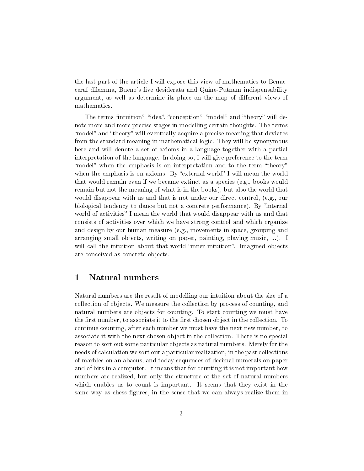the last part of the article I will expose this view of mathematics to Benacceraf dilemma, Bueno's five desiderata and Quine-Putnam indispensability argument, as well as determine its place on the map of different views of mathematics.

The terms "intuition", "idea", "conception", "model" and "theory" will denote more and more precise stages in modelling certain thoughts. The terms "model" and "theory" will eventually acquire a precise meaning that deviates from the standard meaning in mathematical logic. They will be synonymous here and will denote a set of axioms in a language together with a partial interpretation of the language. In doing so, I will give preference to the term "model" when the emphasis is on interpretation and to the term "theory" when the emphasis is on axioms. By "external world" I will mean the world that would remain even if we became extinct as a species (e.g., books would remain but not the meaning of what is in the books), but also the world that would disappear with us and that is not under our direct control, (e.g., our biological tendency to dance but not a concrete performance). By "internal world of activities" I mean the world that would disappear with us and that consists of activities over which we have strong control and which organize and design by our human measure (e.g., movements in space, grouping and arranging small objects, writing on paper, painting, playing music, ...). I will call the intuition about that world "inner intuition". Imagined objects are conceived as concrete objects.

# 1 Natural numbers

Natural numbers are the result of modelling our intuition about the size of a collection of objects. We measure the collection by process of counting, and natural numbers are objects for counting. To start counting we must have the first number, to associate it to the first chosen object in the collection. To continue counting, after each number we must have the next new number, to associate it with the next chosen object in the collection. There is no special reason to sort out some particular objects as natural numbers. Merely for the needs of calculation we sort out a particular realization, in the past collections of marbles on an abacus, and today sequences of decimal numerals on paper and of bits in a computer. It means that for counting it is not important how numbers are realized, but only the structure of the set of natural numbers which enables us to count is important. It seems that they exist in the same way as chess figures, in the sense that we can always realize them in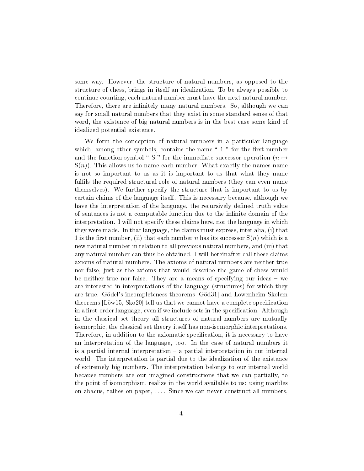some way. However, the structure of natural numbers, as opposed to the structure of chess, brings in itself an idealization. To be always possible to continue counting, each natural number must have the next natural number. Therefore, there are infinitely many natural numbers. So, although we can say for small natural numbers that they exist in some standard sense of that word, the existence of big natural numbers is in the best case some kind of idealized potential existence.

We form the conception of natural numbers in a particular language which, among other symbols, contains the name  $\degree$  1  $\degree$  for the first number and the function symbol " S " for the immediate successor operation  $(n \mapsto$  $S(n)$ ). This allows us to name each number. What exactly the names name is not so important to us as it is important to us that what they name fulfils the required structural role of natural numbers (they can even name themselves). We further specify the structure that is important to us by certain claims of the language itself. This is necessary because, although we have the interpretation of the language, the recursively defined truth value of sentences is not a computable function due to the innite domain of the interpretation. I will not specify these claims here, nor the language in which they were made. In that language, the claims must express, inter alia, (i) that 1 is the first number, (ii) that each number n has its successor  $S(n)$  which is a new natural number in relation to all previous natural numbers, and (iii) that any natural number can thus be obtained. I will hereinafter call these claims axioms of natural numbers. The axioms of natural numbers are neither true nor false, just as the axioms that would describe the game of chess would be neither true nor false. They are a means of specifying our ideas – we are interested in interpretations of the language (structures) for which they are true. Gödel's incompleteness theorems [Göd31] and Lowenheim-Skolem theorems  $\text{Löw15}, \text{Sko20}$  tell us that we cannot have a complete specification in a first-order language, even if we include sets in the specification. Although in the classical set theory all structures of natural numbers are mutually isomorphic, the classical set theory itself has non-isomorphic interpretations. Therefore, in addition to the axiomatic specification, it is necessary to have an interpretation of the language, too. In the case of natural numbers it is a partial internal interpretation  $-$  a partial interpretation in our internal world. The interpretation is partial due to the idealization of the existence of extremely big numbers. The interpretation belongs to our internal world because numbers are our imagined constructions that we can partially, to the point of isomorphism, realize in the world available to us: using marbles on abacus, tallies on paper, . . . . Since we can never construct all numbers,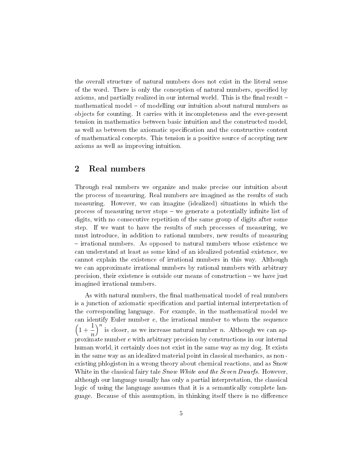the overall structure of natural numbers does not exist in the literal sense of the word. There is only the conception of natural numbers, specified by axioms, and partially realized in our internal world. This is the final result – mathematical model – of modelling our intuition about natural numbers as objects for counting. It carries with it incompleteness and the ever-present tension in mathematics between basic intuition and the constructed model, as well as between the axiomatic specification and the constructive content of mathematical concepts. This tension is a positive source of accepting new axioms as well as improving intuition.

#### 2 Real numbers

Through real numbers we organize and make precise our intuition about the process of measuring. Real numbers are imagined as the results of such measuring. However, we can imagine (idealized) situations in which the process of measuring never stops – we generate a potentially infinite list of digits, with no consecutive repetition of the same group of digits after some step. If we want to have the results of such processes of measuring, we must introduce, in addition to rational numbers, new results of measuring - irrational numbers. As opposed to natural numbers whose existence we can understand at least as some kind of an idealized potential existence, we cannot explain the existence of irrational numbers in this way. Although we can approximate irrational numbers by rational numbers with arbitrary precision, their existence is outside our means of construction we have just imagined irrational numbers.

As with natural numbers, the final mathematical model of real numbers is a junction of axiomatic specification and partial internal interpretation of the corresponding language. For example, in the mathematical model we can identify Euler number e, the irrational number to whom the sequence  $\left(1+\frac{1}{1}\right)$ n )<sup>n</sup> is closer, as we increase natural number *n*. Although we can approximate number e with arbitrary precision by constructions in our internal human world, it certainly does not exist in the same way as my dog. It exists in the same way as an idealized material point in classical mechanics, as non existing phlogiston in a wrong theory about chemical reactions, and as Snow White in the classical fairy tale *Snow White and the Seven Dwarfs*. However, although our language usually has only a partial interpretation, the classical logic of using the language assumes that it is a semantically complete language. Because of this assumption, in thinking itself there is no difference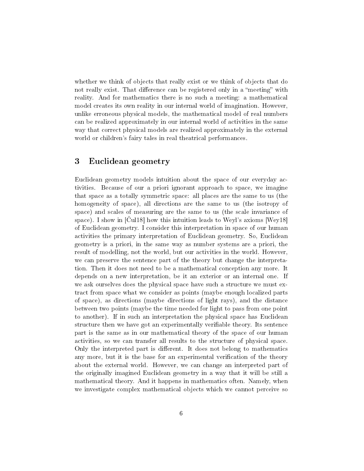whether we think of objects that really exist or we think of objects that do not really exist. That difference can be registered only in a "meeting" with reality. And for mathematics there is no such a meeting: a mathematical model creates its own reality in our internal world of imagination. However, unlike erroneous physical models, the mathematical model of real numbers can be realized approximately in our internal world of activities in the same way that correct physical models are realized approximately in the external world or children's fairy tales in real theatrical performances.

# 3 Euclidean geometry

Euclidean geometry models intuition about the space of our everyday activities. Because of our a priori ignorant approach to space, we imagine that space as a totally symmetric space: all places are the same to us (the homogeneity of space), all directions are the same to us (the isotropy of space) and scales of measuring are the same to us (the scale invariance of space). I show in  $\lbrack \text{Cul18} \rbrack$  how this intuition leads to Weyl's axioms  $\lbrack \text{Wey18} \rbrack$ of Euclidean geometry. I consider this interpretation in space of our human activities the primary interpretation of Euclidean geometry. So, Euclidean geometry is a priori, in the same way as number systems are a priori, the result of modelling, not the world, but our activities in the world. However, we can preserve the sentence part of the theory but change the interpretation. Then it does not need to be a mathematical conception any more. It depends on a new interpretation, be it an exterior or an internal one. If we ask ourselves does the physical space have such a structure we must extract from space what we consider as points (maybe enough localized parts of space), as directions (maybe directions of light rays), and the distance between two points (maybe the time needed for light to pass from one point to another). If in such an interpretation the physical space has Euclidean structure then we have got an experimentally verifiable theory. Its sentence part is the same as in our mathematical theory of the space of our human activities, so we can transfer all results to the structure of physical space. Only the interpreted part is different. It does not belong to mathematics any more, but it is the base for an experimental verification of the theory about the external world. However, we can change an interpreted part of the originally imagined Euclidean geometry in a way that it will be still a mathematical theory. And it happens in mathematics often. Namely, when we investigate complex mathematical objects which we cannot perceive so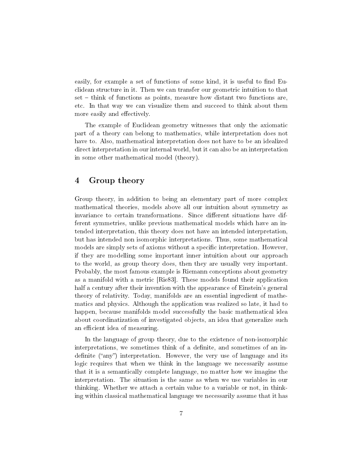easily, for example a set of functions of some kind, it is useful to find Euclidean structure in it. Then we can transfer our geometric intuition to that  $set -$  think of functions as points, measure how distant two functions are. etc. In that way we can visualize them and succeed to think about them more easily and effectively.

The example of Euclidean geometry witnesses that only the axiomatic part of a theory can belong to mathematics, while interpretation does not have to. Also, mathematical interpretation does not have to be an idealized direct interpretation in our internal world, but it can also be an interpretation in some other mathematical model (theory).

# 4 Group theory

Group theory, in addition to being an elementary part of more complex mathematical theories, models above all our intuition about symmetry as invariance to certain transformations. Since different situations have different symmetries, unlike previous mathematical models which have an intended interpretation, this theory does not have an intended interpretation, but has intended non isomorphic interpretations. Thus, some mathematical models are simply sets of axioms without a specific interpretation. However, if they are modelling some important inner intuition about our approach to the world, as group theory does, then they are usually very important. Probably, the most famous example is Riemann conceptions about geometry as a manifold with a metric [Rie83]. These models found their application half a century after their invention with the appearance of Einstein's general theory of relativity. Today, manifolds are an essential ingredient of mathematics and physics. Although the application was realized so late, it had to happen, because manifolds model successfully the basic mathematical idea about coordinatization of investigated objects, an idea that generalize such an efficient idea of measuring.

In the language of group theory, due to the existence of non-isomorphic interpretations, we sometimes think of a definite, and sometimes of an indefinite ("any") interpretation. However, the very use of language and its logic requires that when we think in the language we necessarily assume that it is a semantically complete language, no matter how we imagine the interpretation. The situation is the same as when we use variables in our thinking. Whether we attach a certain value to a variable or not, in thinking within classical mathematical language we necessarily assume that it has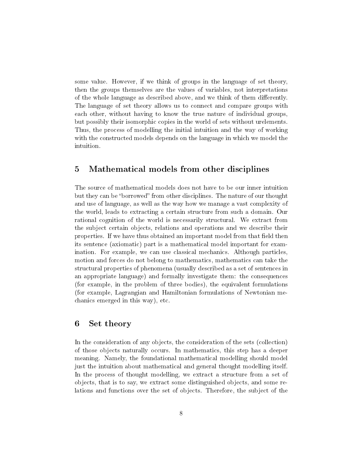some value. However, if we think of groups in the language of set theory, then the groups themselves are the values of variables, not interpretations of the whole language as described above, and we think of them differently. The language of set theory allows us to connect and compare groups with each other, without having to know the true nature of individual groups, but possibly their isomorphic copies in the world of sets without urelements. Thus, the process of modelling the initial intuition and the way of working with the constructed models depends on the language in which we model the intuition.

## 5 Mathematical models from other disciplines

The source of mathematical models does not have to be our inner intuition but they can be "borrowed" from other disciplines. The nature of our thought and use of language, as well as the way how we manage a vast complexity of the world, leads to extracting a certain structure from such a domain. Our rational cognition of the world is necessarily structural. We extract from the subject certain objects, relations and operations and we describe their properties. If we have thus obtained an important model from that field then its sentence (axiomatic) part is a mathematical model important for examination. For example, we can use classical mechanics. Although particles, motion and forces do not belong to mathematics, mathematics can take the structural properties of phenomena (usually described as a set of sentences in an appropriate language) and formally investigate them: the consequences (for example, in the problem of three bodies), the equivalent formulations (for example, Lagrangian and Hamiltonian formulations of Newtonian mechanics emerged in this way), etc.

#### 6 Set theory

In the consideration of any objects, the consideration of the sets (collection) of those objects naturally occurs. In mathematics, this step has a deeper meaning. Namely, the foundational mathematical modelling should model just the intuition about mathematical and general thought modelling itself. In the process of thought modelling, we extract a structure from a set of objects, that is to say, we extract some distinguished objects, and some relations and functions over the set of objects. Therefore, the subject of the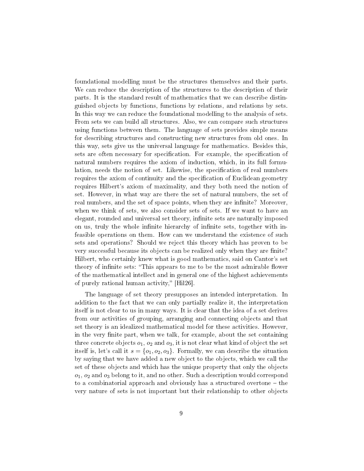foundational modelling must be the structures themselves and their parts. We can reduce the description of the structures to the description of their parts. It is the standard result of mathematics that we can describe distinguished objects by functions, functions by relations, and relations by sets. In this way we can reduce the foundational modelling to the analysis of sets. From sets we can build all structures. Also, we can compare such structures using functions between them. The language of sets provides simple means for describing structures and constructing new structures from old ones. In this way, sets give us the universal language for mathematics. Besides this, sets are often necessary for specification. For example, the specification of natural numbers requires the axiom of induction, which, in its full formulation, needs the notion of set. Likewise, the specification of real numbers requires the axiom of continuity and the specification of Euclidean geometry requires Hilbert's axiom of maximality, and they both need the notion of set. However, in what way are there the set of natural numbers, the set of real numbers, and the set of space points, when they are infinite? Moreover, when we think of sets, we also consider sets of sets. If we want to have an elegant, rounded and universal set theory, infinite sets are naturally imposed on us, truly the whole infinite hierarchy of infinite sets, together with infeasible operations on them. How can we understand the existence of such sets and operations? Should we reject this theory which has proven to be very successful because its objects can be realized only when they are finite? Hilbert, who certainly knew what is good mathematics, said on Cantor's set theory of infinite sets: "This appears to me to be the most admirable flower of the mathematical intellect and in general one of the highest achievements of purely rational human activity," [Hil26].

The language of set theory presupposes an intended interpretation. In addition to the fact that we can only partially realize it, the interpretation itself is not clear to us in many ways. It is clear that the idea of a set derives from our activities of grouping, arranging and connecting objects and that set theory is an idealized mathematical model for these activities. However, in the very finite part, when we talk, for example, about the set containing three concrete objects  $o_1, o_2$  and  $o_3$ , it is not clear what kind of object the set itself is, let's call it  $s = \{o_1, o_2, o_3\}$ . Formally, we can describe the situation by saying that we have added a new object to the objects, which we call the set of these objects and which has the unique property that only the objects  $o_1, o_2$  and  $o_3$  belong to it, and no other. Such a description would correspond to a combinatorial approach and obviously has a structured overtone  $-$  the very nature of sets is not important but their relationship to other objects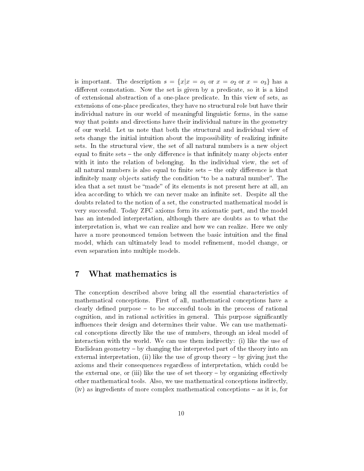is important. The description  $s = \{x | x = o_1 \text{ or } x = o_2 \text{ or } x = o_3\}$  has a different connotation. Now the set is given by a predicate, so it is a kind of extensional abstraction of a one-place predicate. In this view of sets, as extensions of one-place predicates, they have no structural role but have their individual nature in our world of meaningful linguistic forms, in the same way that points and directions have their individual nature in the geometry of our world. Let us note that both the structural and individual view of sets change the initial intuition about the impossibility of realizing infinite sets. In the structural view, the set of all natural numbers is a new object equal to finite sets  $-$  the only difference is that infinitely many objects enter with it into the relation of belonging. In the individual view, the set of all natural numbers is also equal to finite sets  $-$  the only difference is that infinitely many objects satisfy the condition "to be a natural number". The idea that a set must be "made" of its elements is not present here at all, an idea according to which we can never make an infinite set. Despite all the doubts related to the notion of a set, the constructed mathematical model is very successful. Today ZFC axioms form its axiomatic part, and the model has an intended interpretation, although there are doubts as to what the interpretation is, what we can realize and how we can realize. Here we only have a more pronounced tension between the basic intuition and the final model, which can ultimately lead to model refinement, model change, or even separation into multiple models.

## 7 What mathematics is

The conception described above bring all the essential characteristics of mathematical conceptions. First of all, mathematical conceptions have a clearly defined purpose  $-$  to be successful tools in the process of rational cognition, and in rational activities in general. This purpose significantly influences their design and determines their value. We can use mathematical conceptions directly like the use of numbers, through an ideal model of interaction with the world. We can use them indirectly: (i) like the use of Euclidean geometry  $-$  by changing the interpreted part of the theory into an external interpretation, (ii) like the use of group theory  $-$  by giving just the axioms and their consequences regardless of interpretation, which could be the external one, or (iii) like the use of set theory  $-$  by organizing effectively other mathematical tools. Also, we use mathematical conceptions indirectly,  $(iv)$  as ingredients of more complex mathematical conceptions  $-$  as it is, for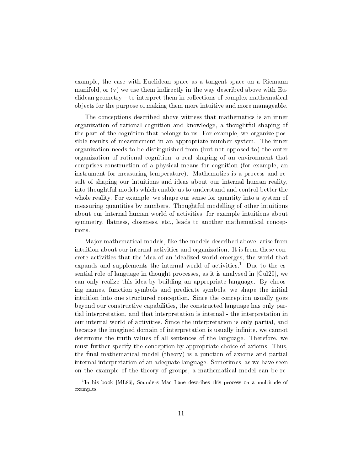example, the case with Euclidean space as a tangent space on a Riemann manifold, or (v) we use them indirectly in the way described above with Eu $c$ lidean geometry  $-$  to interpret them in collections of complex mathematical objects for the purpose of making them more intuitive and more manageable.

The conceptions described above witness that mathematics is an inner organization of rational cognition and knowledge, a thoughtful shaping of the part of the cognition that belongs to us. For example, we organize possible results of measurement in an appropriate number system. The inner organization needs to be distinguished from (but not opposed to) the outer organization of rational cognition, a real shaping of an environment that comprises construction of a physical means for cognition (for example, an instrument for measuring temperature). Mathematics is a process and result of shaping our intuitions and ideas about our internal human reality, into thoughtful models which enable us to understand and control better the whole reality. For example, we shape our sense for quantity into a system of measuring quantities by numbers. Thoughtful modelling of other intuitions about our internal human world of activities, for example intuitions about symmetry, flatness, closeness, etc., leads to another mathematical conceptions.

Major mathematical models, like the models described above, arise from intuition about our internal activities and organization. It is from these concrete activities that the idea of an idealized world emerges, the world that expands and supplements the internal world of activities.<sup>1</sup> Due to the essential role of language in thought processes, as it is analysed in  $[\text{Cu}120]$ , we can only realize this idea by building an appropriate language. By choosing names, function symbols and predicate symbols, we shape the initial intuition into one structured conception. Since the conception usually goes beyond our constructive capabilities, the constructed language has only partial interpretation, and that interpretation is internal - the interpretation in our internal world of activities. Since the interpretation is only partial, and because the imagined domain of interpretation is usually infinite, we cannot determine the truth values of all sentences of the language. Therefore, we must further specify the conception by appropriate choice of axioms. Thus, the final mathematical model (theory) is a junction of axioms and partial internal interpretation of an adequate language. Sometimes, as we have seen on the example of the theory of groups, a mathematical model can be re-

<sup>&</sup>lt;sup>1</sup>In his book [ML86], Sounders Mac Lane describes this process on a multitude of examples.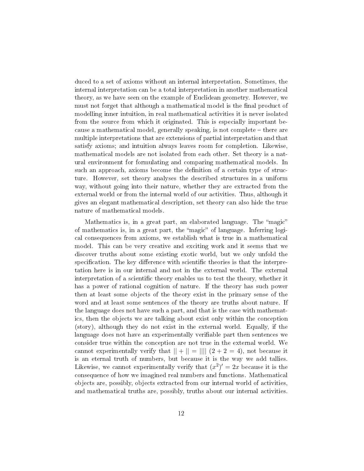duced to a set of axioms without an internal interpretation. Sometimes, the internal interpretation can be a total interpretation in another mathematical theory, as we have seen on the example of Euclidean geometry. However, we must not forget that although a mathematical model is the final product of modelling inner intuition, in real mathematical activities it is never isolated from the source from which it originated. This is especially important because a mathematical model, generally speaking, is not complete there are multiple interpretations that are extensions of partial interpretation and that satisfy axioms; and intuition always leaves room for completion. Likewise, mathematical models are not isolated from each other. Set theory is a natural environment for formulating and comparing mathematical models. In such an approach, axioms become the definition of a certain type of structure. However, set theory analyses the described structures in a uniform way, without going into their nature, whether they are extracted from the external world or from the internal world of our activities. Thus, although it gives an elegant mathematical description, set theory can also hide the true nature of mathematical models.

Mathematics is, in a great part, an elaborated language. The "magic" of mathematics is, in a great part, the "magic" of language. Inferring logical consequences from axioms, we establish what is true in a mathematical model. This can be very creative and exciting work and it seems that we discover truths about some existing exotic world, but we only unfold the specification. The key difference with scientific theories is that the interpretation here is in our internal and not in the external world. The external interpretation of a scientific theory enables us to test the theory, whether it has a power of rational cognition of nature. If the theory has such power then at least some objects of the theory exist in the primary sense of the word and at least some sentences of the theory are truths about nature. If the language does not have such a part, and that is the case with mathematics, then the objects we are talking about exist only within the conception (story), although they do not exist in the external world. Equally, if the language does not have an experimentally verifiable part then sentences we consider true within the conception are not true in the external world. We cannot experimentally verify that  $|| + || = |||| (2 + 2 = 4)$ , not because it is an eternal truth of numbers, but because it is the way we add tallies. Likewise, we cannot experimentally verify that  $(x^2)' = 2x$  because it is the consequence of how we imagined real numbers and functions. Mathematical objects are, possibly, objects extracted from our internal world of activities, and mathematical truths are, possibly, truths about our internal activities.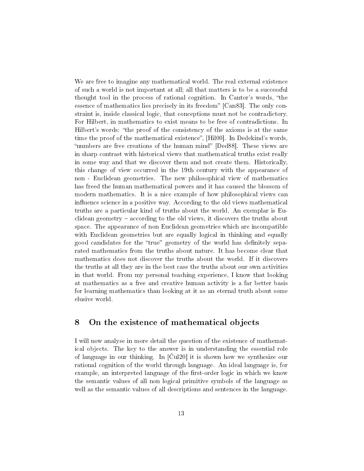We are free to imagine any mathematical world. The real external existence of such a world is not important at all; all that matters is to be a successful thought tool in the process of rational cognition. In Cantor's words, "the essence of mathematics lies precisely in its freedom" [Can83]. The only constraint is, inside classical logic, that conceptions must not be contradictory. For Hilbert, in mathematics to exist means to be free of contradictions. In Hilbert's words: "the proof of the consistency of the axioms is at the same time the proof of the mathematical existence", [Hil00]. In Dedekind's words, "numbers are free creations of the human mind" [Ded88]. These views are in sharp contrast with historical views that mathematical truths exist really in some way and that we discover them and not create them. Historically, this change of view occurred in the 19th century with the appearance of non - Euclidean geometries. The new philosophical view of mathematics has freed the human mathematical powers and it has caused the blossom of modern mathematics. It is a nice example of how philosophical views can influence science in a positive way. According to the old views mathematical truths are a particular kind of truths about the world. An exemplar is Eu $c$ lidean geometry  $-$  according to the old views, it discovers the truths about space. The appearance of non Euclidean geometries which are incompatible with Euclidean geometries but are equally logical in thinking and equally good candidates for the "true" geometry of the world has definitely separated mathematics from the truths about nature. It has become clear that mathematics does not discover the truths about the world. If it discovers the truths at all they are in the best case the truths about our own activities in that world. From my personal teaching experience, I know that looking at mathematics as a free and creative human activity is a far better basis for learning mathematics than looking at it as an eternal truth about some elusive world.

#### 8 On the existence of mathematical objects

I will now analyse in more detail the question of the existence of mathematical objects. The key to the answer is in understanding the essential role of language in our thinking. In  $\lbrack \text{Cu}120 \rbrack$  it is shown how we synthesize our rational cognition of the world through language. An ideal language is, for example, an interpreted language of the first-order logic in which we know the semantic values of all non logical primitive symbols of the language as well as the semantic values of all descriptions and sentences in the language.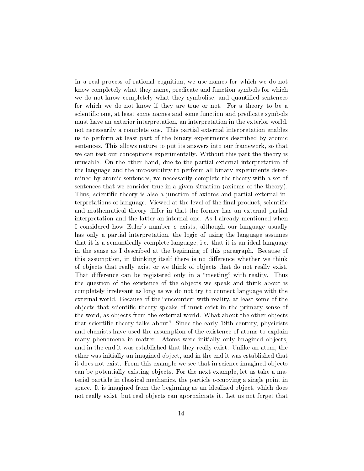In a real process of rational cognition, we use names for which we do not know completely what they name, predicate and function symbols for which we do not know completely what they symbolise, and quantified sentences for which we do not know if they are true or not. For a theory to be a scientific one, at least some names and some function and predicate symbols must have an exterior interpretation, an interpretation in the exterior world, not necessarily a complete one. This partial external interpretation enables us to perform at least part of the binary experiments described by atomic sentences. This allows nature to put its answers into our framework, so that we can test our conceptions experimentally. Without this part the theory is unusable. On the other hand, due to the partial external interpretation of the language and the impossibility to perform all binary experiments determined by atomic sentences, we necessarily complete the theory with a set of sentences that we consider true in a given situation (axioms of the theory). Thus, scientific theory is also a junction of axioms and partial external interpretations of language. Viewed at the level of the final product, scientific and mathematical theory differ in that the former has an external partial interpretation and the latter an internal one. As I already mentioned when I considered how Euler's number e exists, although our language usually has only a partial interpretation, the logic of using the language assumes that it is a semantically complete language, i.e. that it is an ideal language in the sense as I described at the beginning of this paragraph. Because of this assumption, in thinking itself there is no difference whether we think of objects that really exist or we think of objects that do not really exist. That difference can be registered only in a "meeting" with reality. Thus the question of the existence of the objects we speak and think about is completely irrelevant as long as we do not try to connect language with the external world. Because of the "encounter" with reality, at least some of the objects that scientific theory speaks of must exist in the primary sense of the word, as objects from the external world. What about the other objects that scientific theory talks about? Since the early 19th century, physicists and chemists have used the assumption of the existence of atoms to explain many phenomena in matter. Atoms were initially only imagined objects, and in the end it was established that they really exist. Unlike an atom, the ether was initially an imagined object, and in the end it was established that it does not exist. From this example we see that in science imagined objects can be potentially existing objects. For the next example, let us take a material particle in classical mechanics, the particle occupying a single point in space. It is imagined from the beginning as an idealized object, which does not really exist, but real objects can approximate it. Let us not forget that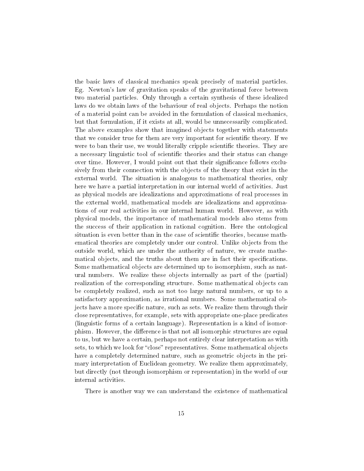the basic laws of classical mechanics speak precisely of material particles. Eg. Newton's law of gravitation speaks of the gravitational force between two material particles. Only through a certain synthesis of these idealized laws do we obtain laws of the behaviour of real objects. Perhaps the notion of a material point can be avoided in the formulation of classical mechanics, but that formulation, if it exists at all, would be unnecessarily complicated. The above examples show that imagined objects together with statements that we consider true for them are very important for scientific theory. If we were to ban their use, we would literally cripple scientific theories. They are a necessary linguistic tool of scientific theories and their status can change over time. However, I would point out that their signicance follows exclusively from their connection with the objects of the theory that exist in the external world. The situation is analogous to mathematical theories, only here we have a partial interpretation in our internal world of activities. Just as physical models are idealizations and approximations of real processes in the external world, mathematical models are idealizations and approximations of our real activities in our internal human world. However, as with physical models, the importance of mathematical models also stems from the success of their application in rational cognition. Here the ontological situation is even better than in the case of scientific theories, because mathematical theories are completely under our control. Unlike objects from the outside world, which are under the authority of nature, we create mathematical objects, and the truths about them are in fact their specifications. Some mathematical objects are determined up to isomorphism, such as natural numbers. We realize these objects internally as part of the (partial) realization of the corresponding structure. Some mathematical objects can be completely realized, such as not too large natural numbers, or up to a satisfactory approximation, as irrational numbers. Some mathematical objects have a more specific nature, such as sets. We realize them through their close representatives, for example, sets with appropriate one-place predicates (linguistic forms of a certain language). Representation is a kind of isomorphism. However, the difference is that not all isomorphic structures are equal to us, but we have a certain, perhaps not entirely clear interpretation as with sets, to which we look for "close" representatives. Some mathematical objects have a completely determined nature, such as geometric objects in the primary interpretation of Euclidean geometry. We realize them approximately, but directly (not through isomorphism or representation) in the world of our internal activities.

There is another way we can understand the existence of mathematical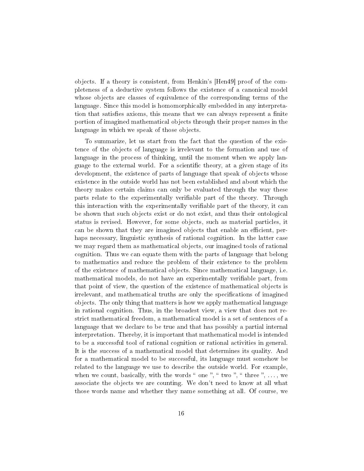objects. If a theory is consistent, from Henkin's [Hen49] proof of the completeness of a deductive system follows the existence of a canonical model whose objects are classes of equivalence of the corresponding terms of the language. Since this model is homomorphically embedded in any interpretation that satisfies axioms, this means that we can always represent a finite portion of imagined mathematical objects through their proper names in the language in which we speak of those objects.

To summarize, let us start from the fact that the question of the existence of the objects of language is irrelevant to the formation and use of language in the process of thinking, until the moment when we apply language to the external world. For a scientific theory, at a given stage of its development, the existence of parts of language that speak of objects whose existence in the outside world has not been established and about which the theory makes certain claims can only be evaluated through the way these parts relate to the experimentally veriable part of the theory. Through this interaction with the experimentally verifiable part of the theory, it can be shown that such objects exist or do not exist, and thus their ontological status is revised. However, for some objects, such as material particles, it can be shown that they are imagined objects that enable an efficient, perhaps necessary, linguistic synthesis of rational cognition. In the latter case we may regard them as mathematical objects, our imagined tools of rational cognition. Thus we can equate them with the parts of language that belong to mathematics and reduce the problem of their existence to the problem of the existence of mathematical objects. Since mathematical language, i.e. mathematical models, do not have an experimentally verifiable part, from that point of view, the question of the existence of mathematical objects is irrelevant, and mathematical truths are only the specifications of imagined objects. The only thing that matters is how we apply mathematical language in rational cognition. Thus, in the broadest view, a view that does not restrict mathematical freedom, a mathematical model is a set of sentences of a language that we declare to be true and that has possibly a partial internal interpretation. Thereby, it is important that mathematical model is intended to be a successful tool of rational cognition or rational activities in general. It is the success of a mathematical model that determines its quality. And for a mathematical model to be successful, its language must somehow be related to the language we use to describe the outside world. For example, when we count, basically, with the words " one ", " two ", " three ",  $\dots$ , we associate the objects we are counting. We don't need to know at all what those words name and whether they name something at all. Of course, we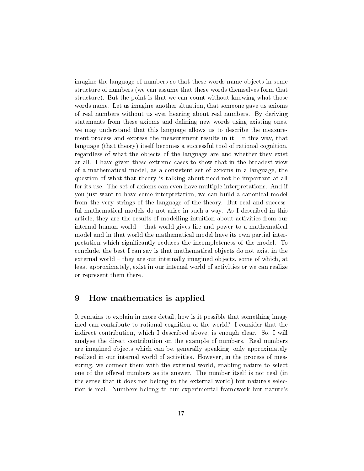imagine the language of numbers so that these words name objects in some structure of numbers (we can assume that these words themselves form that structure). But the point is that we can count without knowing what those words name. Let us imagine another situation, that someone gave us axioms of real numbers without us ever hearing about real numbers. By deriving statements from these axioms and dening new words using existing ones, we may understand that this language allows us to describe the measurement process and express the measurement results in it. In this way, that language (that theory) itself becomes a successful tool of rational cognition, regardless of what the objects of the language are and whether they exist at all. I have given these extreme cases to show that in the broadest view of a mathematical model, as a consistent set of axioms in a language, the question of what that theory is talking about need not be important at all for its use. The set of axioms can even have multiple interpretations. And if you just want to have some interpretation, we can build a canonical model from the very strings of the language of the theory. But real and successful mathematical models do not arise in such a way. As I described in this article, they are the results of modelling intuition about activities from our internal human world  $-$  that world gives life and power to a mathematical model and in that world the mathematical model have its own partial interpretation which signicantly reduces the incompleteness of the model. To conclude, the best I can say is that mathematical objects do not exist in the external world – they are our internally imagined objects, some of which, at least approximately, exist in our internal world of activities or we can realize or represent them there.

# 9 How mathematics is applied

It remains to explain in more detail, how is it possible that something imagined can contribute to rational cognition of the world? I consider that the indirect contribution, which I described above, is enough clear. So, I will analyse the direct contribution on the example of numbers. Real numbers are imagined objects which can be, generally speaking, only approximately realized in our internal world of activities. However, in the process of measuring, we connect them with the external world, enabling nature to select one of the offered numbers as its answer. The number itself is not real (in the sense that it does not belong to the external world) but nature's selection is real. Numbers belong to our experimental framework but nature's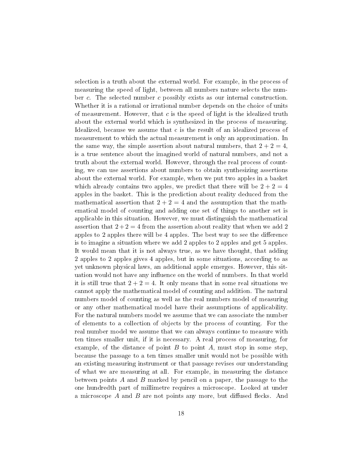selection is a truth about the external world. For example, in the process of measuring the speed of light, between all numbers nature selects the number c. The selected number c possibly exists as our internal construction. Whether it is a rational or irrational number depends on the choice of units of measurement. However, that  $c$  is the speed of light is the idealized truth about the external world which is synthesized in the process of measuring. Idealized, because we assume that c is the result of an idealized process of measurement to which the actual measurement is only an approximation. In the same way, the simple assertion about natural numbers, that  $2 + 2 = 4$ , is a true sentence about the imagined world of natural numbers, and not a truth about the external world. However, through the real process of counting, we can use assertions about numbers to obtain synthesizing assertions about the external world. For example, when we put two apples in a basket which already contains two apples, we predict that there will be  $2 + 2 = 4$ apples in the basket. This is the prediction about reality deduced from the mathematical assertion that  $2 + 2 = 4$  and the assumption that the mathematical model of counting and adding one set of things to another set is applicable in this situation. However, we must distinguish the mathematical assertion that  $2+2=4$  from the assertion about reality that when we add 2 apples to 2 apples there will be 4 apples. The best way to see the difference is to imagine a situation where we add 2 apples to 2 apples and get 5 apples. It would mean that it is not always true, as we have thought, that adding 2 apples to 2 apples gives 4 apples, but in some situations, according to as yet unknown physical laws, an additional apple emerges. However, this situation would not have any influence on the world of numbers. In that world it is still true that  $2 + 2 = 4$ . It only means that in some real situations we cannot apply the mathematical model of counting and addition. The natural numbers model of counting as well as the real numbers model of measuring or any other mathematical model have their assumptions of applicability. For the natural numbers model we assume that we can associate the number of elements to a collection of objects by the process of counting. For the real number model we assume that we can always continue to measure with ten times smaller unit, if it is necessary. A real process of measuring, for example, of the distance of point  $B$  to point  $A$ , must stop in some step, because the passage to a ten times smaller unit would not be possible with an existing measuring instrument or that passage revises our understanding of what we are measuring at all. For example, in measuring the distance between points  $A$  and  $B$  marked by pencil on a paper, the passage to the one hundredth part of millimetre requires a microscope. Looked at under a microscope  $A$  and  $B$  are not points any more, but diffused flecks. And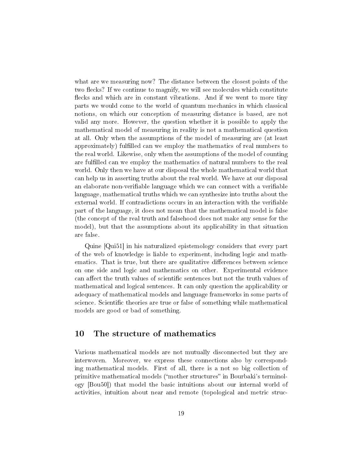what are we measuring now? The distance between the closest points of the two flecks? If we continue to magnify, we will see molecules which constitute flecks and which are in constant vibrations. And if we went to more tiny parts we would come to the world of quantum mechanics in which classical notions, on which our conception of measuring distance is based, are not valid any more. However, the question whether it is possible to apply the mathematical model of measuring in reality is not a mathematical question at all. Only when the assumptions of the model of measuring are (at least approximately) fullled can we employ the mathematics of real numbers to the real world. Likewise, only when the assumptions of the model of counting are fullled can we employ the mathematics of natural numbers to the real world. Only then we have at our disposal the whole mathematical world that can help us in asserting truths about the real world. We have at our disposal an elaborate non-verifiable language which we can connect with a verifiable language, mathematical truths which we can synthesize into truths about the external world. If contradictions occurs in an interaction with the verifiable part of the language, it does not mean that the mathematical model is false (the concept of the real truth and falsehood does not make any sense for the model), but that the assumptions about its applicability in that situation are false.

Quine [Qui51] in his naturalized epistemology considers that every part of the web of knowledge is liable to experiment, including logic and mathematics. That is true, but there are qualitative differences between science on one side and logic and mathematics on other. Experimental evidence can affect the truth values of scientific sentences but not the truth values of mathematical and logical sentences. It can only question the applicability or adequacy of mathematical models and language frameworks in some parts of science. Scientific theories are true or false of something while mathematical models are good or bad of something.

## 10 The structure of mathematics

Various mathematical models are not mutually disconnected but they are interwoven. Moreover, we express these connections also by corresponding mathematical models. First of all, there is a not so big collection of primitive mathematical models ("mother structures" in Bourbaki's terminology [Bou50]) that model the basic intuitions about our internal world of activities, intuition about near and remote (topological and metric struc-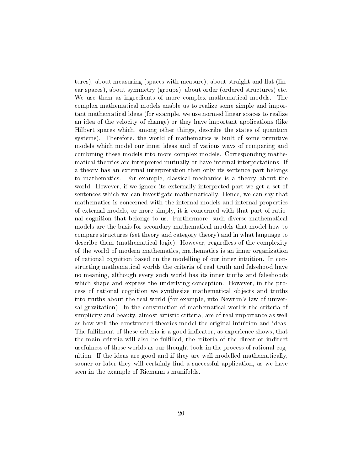tures), about measuring (spaces with measure), about straight and flat (linear spaces), about symmetry (groups), about order (ordered structures) etc. We use them as ingredients of more complex mathematical models. The complex mathematical models enable us to realize some simple and important mathematical ideas (for example, we use normed linear spaces to realize an idea of the velocity of change) or they have important applications (like Hilbert spaces which, among other things, describe the states of quantum systems). Therefore, the world of mathematics is built of some primitive models which model our inner ideas and of various ways of comparing and combining these models into more complex models. Corresponding mathematical theories are interpreted mutually or have internal interpretations. If a theory has an external interpretation then only its sentence part belongs to mathematics. For example, classical mechanics is a theory about the world. However, if we ignore its externally interpreted part we get a set of sentences which we can investigate mathematically. Hence, we can say that mathematics is concerned with the internal models and internal properties of external models, or more simply, it is concerned with that part of rational cognition that belongs to us. Furthermore, such diverse mathematical models are the basis for secondary mathematical models that model how to compare structures (set theory and category theory) and in what language to describe them (mathematical logic). However, regardless of the complexity of the world of modern mathematics, mathematics is an inner organization of rational cognition based on the modelling of our inner intuition. In constructing mathematical worlds the criteria of real truth and falsehood have no meaning, although every such world has its inner truths and falsehoods which shape and express the underlying conception. However, in the process of rational cognition we synthesize mathematical objects and truths into truths about the real world (for example, into Newton's law of universal gravitation). In the construction of mathematical worlds the criteria of simplicity and beauty, almost artistic criteria, are of real importance as well as how well the constructed theories model the original intuition and ideas. The fullment of these criteria is a good indicator, as experience shows, that the main criteria will also be fulfilled, the criteria of the direct or indirect usefulness of those worlds as our thought tools in the process of rational cognition. If the ideas are good and if they are well modelled mathematically, sooner or later they will certainly find a successful application, as we have seen in the example of Riemann's manifolds.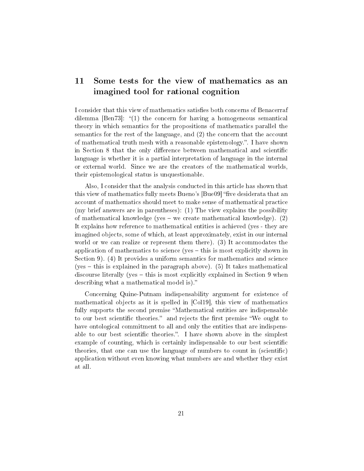# 11 Some tests for the view of mathematics as an imagined tool for rational cognition

I consider that this view of mathematics satisfies both concerns of Benacerraf dilemma  $\lceil \text{Ben73} \rceil$ : "(1) the concern for having a homogeneous semantical theory in which semantics for the propositions of mathematics parallel the semantics for the rest of the language, and (2) the concern that the account of mathematical truth mesh with a reasonable epistemology.. I have shown in Section 8 that the only difference between mathematical and scientific language is whether it is a partial interpretation of language in the internal or external world. Since we are the creators of the mathematical worlds, their epistemological status is unquestionable.

Also, I consider that the analysis conducted in this article has shown that this view of mathematics fully meets Bueno's  $[Bue09]$  "five desiderata that an account of mathematics should meet to make sense of mathematical practice (my brief answers are in parentheses): (1) The view explains the possibility of mathematical knowledge (yes – we create mathematical knowledge).  $(2)$ It explains how reference to mathematical entities is achieved (yes - they are imagined objects, some of which, at least approximately, exist in our internal world or we can realize or represent them there). (3) It accommodates the application of mathematics to science (yes – this is most explicitly shown in Section 9). (4) It provides a uniform semantics for mathematics and science (yes  $-$  this is explained in the paragraph above). (5) It takes mathematical discourse literally (yes  $-$  this is most explicitly explained in Section 9 when describing what a mathematical model is).

Concerning Quine-Putnam indispensability argument for existence of mathematical objects as it is spelled in [Col19], this view of mathematics fully supports the second premise "Mathematical entities are indispensable to our best scientific theories." and rejects the first premise "We ought to have ontological commitment to all and only the entities that are indispensable to our best scientific theories.". I have shown above in the simplest example of counting, which is certainly indispensable to our best scientific theories, that one can use the language of numbers to count in (scientic) application without even knowing what numbers are and whether they exist at all.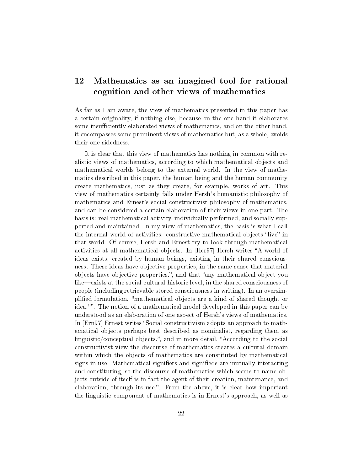# 12 Mathematics as an imagined tool for rational cognition and other views of mathematics

As far as I am aware, the view of mathematics presented in this paper has a certain originality, if nothing else, because on the one hand it elaborates some insufficiently elaborated views of mathematics, and on the other hand, it encompasses some prominent views of mathematics but, as a whole, avoids their one-sidedness.

It is clear that this view of mathematics has nothing in common with realistic views of mathematics, according to which mathematical objects and mathematical worlds belong to the external world. In the view of mathematics described in this paper, the human being and the human community create mathematics, just as they create, for example, works of art. This view of mathematics certainly falls under Hersh's humanistic philosophy of mathematics and Ernest's social constructivist philosophy of mathematics, and can be considered a certain elaboration of their views in one part. The basis is: real mathematical activity, individually performed, and socially supported and maintained. In my view of mathematics, the basis is what I call the internal world of activities: constructive mathematical objects "live" in that world. Of course, Hersh and Ernest try to look through mathematical activities at all mathematical objects. In [Her97] Hersh writes "A world of ideas exists, created by human beings, existing in their shared consciousness. These ideas have objective properties, in the same sense that material objects have objective properties.", and that "any mathematical object you like—exists at the social-cultural-historic level, in the shared consciousness of people (including retrievable stored consciousness in writing). In an oversimplied formulation, "mathematical objects are a kind of shared thought or idea."". The notion of a mathematical model developed in this paper can be understood as an elaboration of one aspect of Hersh's views of mathematics. In [Ern97] Ernest writes "Social constructivism adopts an approach to mathematical objects perhaps best described as nominalist, regarding them as linguistic/conceptual objects.", and in more detail, "According to the social constructivist view the discourse of mathematics creates a cultural domain within which the objects of mathematics are constituted by mathematical signs in use. Mathematical signifiers and signifieds are mutually interacting and constituting, so the discourse of mathematics which seems to name objects outside of itself is in fact the agent of their creation, maintenance, and elaboration, through its use.". From the above, it is clear how important the linguistic component of mathematics is in Ernest's approach, as well as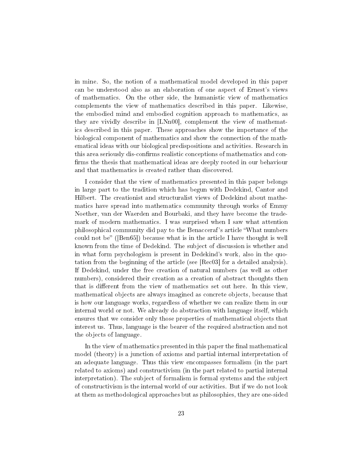in mine. So, the notion of a mathematical model developed in this paper can be understood also as an elaboration of one aspect of Ernest's views of mathematics. On the other side, the humanistic view of mathematics complements the view of mathematics described in this paper. Likewise, the embodied mind and embodied cognition approach to mathematics, as they are vividly describe in [LNn00], complement the view of mathematics described in this paper. These approaches show the importance of the biological component of mathematics and show the connection of the mathematical ideas with our biological predispositions and activities. Research in this area seriously dis-confirms realistic conceptions of mathematics and confirms the thesis that mathematical ideas are deeply rooted in our behaviour and that mathematics is created rather than discovered.

I consider that the view of mathematics presented in this paper belongs in large part to the tradition which has begun with Dedekind, Cantor and Hilbert. The creationist and structuralist views of Dedekind about mathematics have spread into mathematics community through works of Emmy Noether, van der Waerden and Bourbaki, and they have become the trademark of modern mathematics. I was surprised when I saw what attention philosophical community did pay to the Benacceraf's article What numbers could not be" ([Ben65]) because what is in the article I have thought is well known from the time of Dedekind. The subject of discussion is whether and in what form psychologism is present in Dedekind's work, also in the quotation from the beginning of the article (see [Rec03] for a detailed analysis). If Dedekind, under the free creation of natural numbers (as well as other numbers), considered their creation as a creation of abstract thoughts then that is different from the view of mathematics set out here. In this view, mathematical objects are always imagined as concrete objects, because that is how our language works, regardless of whether we can realize them in our internal world or not. We already do abstraction with language itself, which ensures that we consider only those properties of mathematical objects that interest us. Thus, language is the bearer of the required abstraction and not the objects of language.

In the view of mathematics presented in this paper the final mathematical model (theory) is a junction of axioms and partial internal interpretation of an adequate language. Thus this view encompasses formalism (in the part related to axioms) and constructivism (in the part related to partial internal interpretation). The subject of formalism is formal systems and the subject of constructivism is the internal world of our activities. But if we do not look at them as methodological approaches but as philosophies, they are one-sided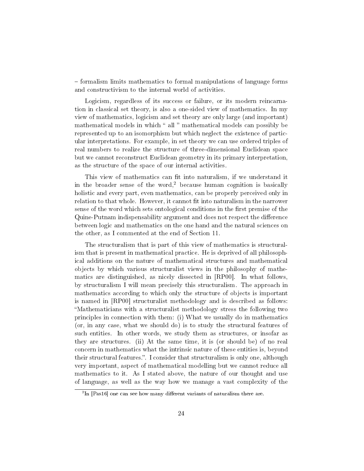formalism limits mathematics to formal manipulations of language forms and constructivism to the internal world of activities.

Logicism, regardless of its success or failure, or its modern reincarnation in classical set theory, is also a one-sided view of mathematics. In my view of mathematics, logicism and set theory are only large (and important) mathematical models in which " all " mathematical models can possibly be represented up to an isomorphism but which neglect the existence of particular interpretations. For example, in set theory we can use ordered triples of real numbers to realize the structure of three-dimensional Euclidean space but we cannot reconstruct Euclidean geometry in its primary interpretation, as the structure of the space of our internal activities.

This view of mathematics can fit into naturalism, if we understand it in the broader sense of the word,<sup>2</sup> because human cognition is basically holistic and every part, even mathematics, can be properly perceived only in relation to that whole. However, it cannot fit into naturalism in the narrower sense of the word which sets ontological conditions in the first premise of the Quine-Putnam indispensability argument and does not respect the difference between logic and mathematics on the one hand and the natural sciences on the other, as I commented at the end of Section 11.

The structuralism that is part of this view of mathematics is structuralism that is present in mathematical practice. He is deprived of all philosophical additions on the nature of mathematical structures and mathematical objects by which various structuralist views in the philosophy of mathematics are distinguished, as nicely dissected in [RP00]. In what follows, by structuralism I will mean precisely this structuralism. The approach in mathematics according to which only the structure of objects is important is named in [RP00] structuralist methodology and is described as follows: Mathematicians with a structuralist methodology stress the following two principles in connection with them: (i) What we usually do in mathematics (or, in any case, what we should do) is to study the structural features of such entities. In other words, we study them as structures, or insofar as they are structures. (ii) At the same time, it is (or should be) of no real concern in mathematics what the intrinsic nature of these entities is, beyond their structural features.". I consider that structuralism is only one, although very important, aspect of mathematical modelling but we cannot reduce all mathematics to it. As I stated above, the nature of our thought and use of language, as well as the way how we manage a vast complexity of the

 ${}^{2}\text{In}$  [Pas16] one can see how many different variants of naturalism there are.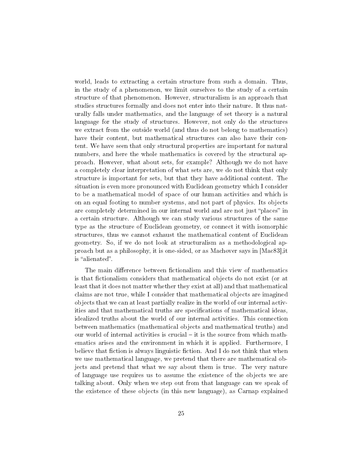world, leads to extracting a certain structure from such a domain. Thus, in the study of a phenomenon, we limit ourselves to the study of a certain structure of that phenomenon. However, structuralism is an approach that studies structures formally and does not enter into their nature. It thus naturally falls under mathematics, and the language of set theory is a natural language for the study of structures. However, not only do the structures we extract from the outside world (and thus do not belong to mathematics) have their content, but mathematical structures can also have their content. We have seen that only structural properties are important for natural numbers, and here the whole mathematics is covered by the structural approach. However, what about sets, for example? Although we do not have a completely clear interpretation of what sets are, we do not think that only structure is important for sets, but that they have additional content. The situation is even more pronounced with Euclidean geometry which I consider to be a mathematical model of space of our human activities and which is on an equal footing to number systems, and not part of physics. Its objects are completely determined in our internal world and are not just "places" in a certain structure. Although we can study various structures of the same type as the structure of Euclidean geometry, or connect it with isomorphic structures, thus we cannot exhaust the mathematical content of Euclidean geometry. So, if we do not look at structuralism as a methodological approach but as a philosophy, it is one-sided, or as Machover says in [Mac83],it is "alienated".

The main difference between fictionalism and this view of mathematics is that fictionalism considers that mathematical objects do not exist (or at least that it does not matter whether they exist at all) and that mathematical claims are not true, while I consider that mathematical objects are imagined objects that we can at least partially realize in the world of our internal activities and that mathematical truths are specifications of mathematical ideas, idealized truths about the world of our internal activities. This connection between mathematics (mathematical objects and mathematical truths) and our world of internal activities is crucial  $-$  it is the source from which mathematics arises and the environment in which it is applied. Furthermore, I believe that fiction is always linguistic fiction. And I do not think that when we use mathematical language, we pretend that there are mathematical objects and pretend that what we say about them is true. The very nature of language use requires us to assume the existence of the objects we are talking about. Only when we step out from that language can we speak of the existence of these objects (in this new language), as Carnap explained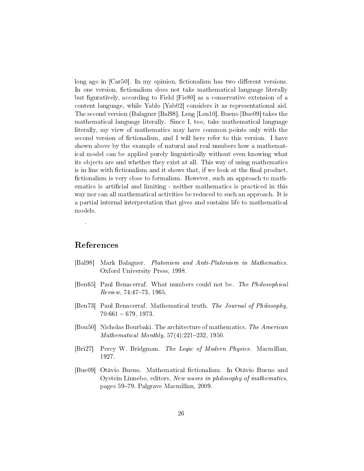long ago in [Car50]. In my opinion, fictionalism has two different versions. In one version, fictionalism does not take mathematical language literally but figuratively, according to Field [Fie80] as a conservative extension of a content language, while Yablo [Yab02] considers it as representational aid. The second version (Balaguer [Bal98], Leng [Len10], Bueno [Bue09] takes the mathematical language literally. Since I, too, take mathematical language literally, my view of mathematics may have common points only with the second version of fictionalism, and I will here refer to this version. I have shown above by the example of natural and real numbers how a mathematical model can be applied purely linguistically without even knowing what its objects are and whether they exist at all. This way of using mathematics is in line with fictionalism and it shows that, if we look at the final product, fictionalism is very close to formalism. However, such an approach to mathematics is artificial and limiting - neither mathematics is practiced in this way nor can all mathematical activities be reduced to such an approach. It is a partial internal interpretation that gives and sustains life to mathematical models.

#### References

.

- [Bal98] Mark Balaguer. Platonism and Anti-Platonism in Mathematics. Oxford University Press, 1998.
- [Ben65] Paul Benacerraf. What numbers could not be. The Philosophical  $Review, 74:47-73, 1965.$
- [Ben73] Paul Benacerraf. Mathematical truth. The Journal of Philosophy,  $70:661 - 679, 1973.$
- [Bou50] Nicholas Bourbaki. The architecture of mathematics. The American Mathematical Monthly,  $57(4):221-232$ , 1950.
- [Bri27] Percy W. Bridgman. The Logic of Modern Physics. Macmillan, 1927.
- [Bue09] Otávio Bueno. Mathematical ctionalism. In Otávio Bueno and  $\oslash$ ystein Linnebo, editors, New waves in philosophy of mathematics, pages 5979. Palgrave Macmillan, 2009.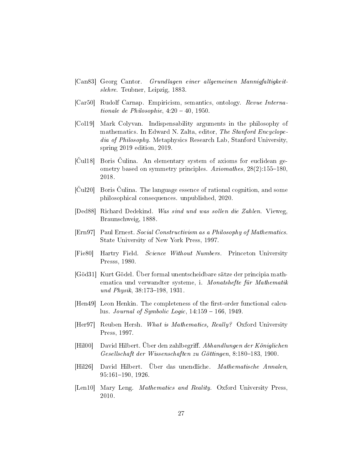- [Can83] Georg Cantor. Grundlagen einer allgemeinen Mannigfaltigkeitslehre. Teubner, Leipzig, 1883.
- [Car50] Rudolf Carnap. Empiricism, semantics, ontology. Revue Internationale de Philosophie,  $4:20 - 40$ , 1950.
- [Col19] Mark Colyvan. Indispensability arguments in the philosophy of mathematics. In Edward N. Zalta, editor, The Stanford Encyclopedia of Philosophy. Metaphysics Research Lab, Stanford University, spring 2019 edition, 2019.
- [Cul18] Boris Culina. An elementary system of axioms for euclidean geometry based on symmetry principles.  $Axiomathes$ ,  $28(2):155-180$ . 2018.
- [Cul20] Boris Culina. The language essence of rational cognition, and some philosophical consequences. unpublished, 2020.
- [Ded88] Richard Dedekind. Was sind und was sollen die Zahlen. Vieweg, Braunschweig, 1888.
- [Ern97] Paul Ernest. Social Constructivism as a Philosophy of Mathematics. State University of New York Press, 1997.
- [Fie80] Hartry Field. Science Without Numbers. Princeton University Presss, 1980.
- [Göd31] Kurt Gödel. Über formal unentscheidbare sätze der principia mathematica und verwandter systeme, i. Monatshefte für Mathematik und Physik,  $38:173-198$ ,  $1931$ .
- [Hen49] Leon Henkin. The completeness of the first-order functional calculus. Journal of Symbolic Logic,  $14:159 - 166$ , 1949.
- [Her97] Reuben Hersh. What is Mathematics, Really? Oxford University Press, 1997.
- [Hil00] David Hilbert. Über den zahlbegriff. Abhandlungen der Königlichen Gesellschaft der Wissenschaften zu Göttingen, 8:180–183, 1900.
- [Hil26] David Hilbert. Über das unendliche. Mathematische Annalen,  $95:161-190, 1926.$
- [Len10] Mary Leng. *Mathematics and Reality*. Oxford University Press, 2010.